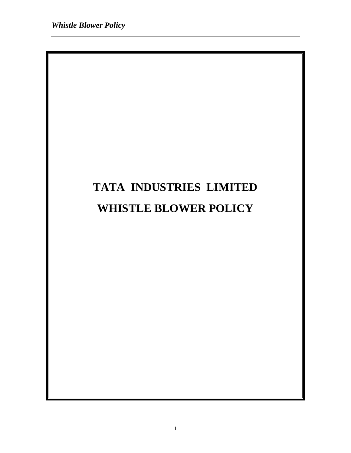# **TATA INDUSTRIES LIMITED WHISTLE BLOWER POLICY**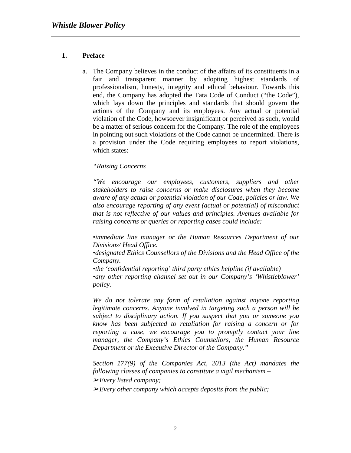# **1. Preface**

a. The Company believes in the conduct of the affairs of its constituents in a fair and transparent manner by adopting highest standards of professionalism, honesty, integrity and ethical behaviour. Towards this end, the Company has adopted the Tata Code of Conduct ("the Code"), which lays down the principles and standards that should govern the actions of the Company and its employees. Any actual or potential violation of the Code, howsoever insignificant or perceived as such, would be a matter of serious concern for the Company. The role of the employees in pointing out such violations of the Code cannot be undermined. There is a provision under the Code requiring employees to report violations, which states:

### *"Raising Concerns*

*"We encourage our employees, customers, suppliers and other stakeholders to raise concerns or make disclosures when they become aware of any actual or potential violation of our Code, policies or law. We also encourage reporting of any event (actual or potential) of misconduct that is not reflective of our values and principles. Avenues available for raising concerns or queries or reporting cases could include:*

*•immediate line manager or the Human Resources Department of our Divisions/ Head Office.* 

*•designated Ethics Counsellors of the Divisions and the Head Office of the Company.* 

*•the 'confidential reporting' third party ethics helpline (if available) •any other reporting channel set out in our Company's 'Whistleblower' policy.*

*We do not tolerate any form of retaliation against anyone reporting legitimate concerns. Anyone involved in targeting such a person will be subject to disciplinary action. If you suspect that you or someone you know has been subjected to retaliation for raising a concern or for reporting a case, we encourage you to promptly contact your line manager, the Company's Ethics Counsellors, the Human Resource Department or the Executive Director of the Company."* 

*Section 177(9) of the Companies Act, 2013 (the Act) mandates the following classes of companies to constitute a vigil mechanism –* 

➢*Every listed company;*

➢*Every other company which accepts deposits from the public;*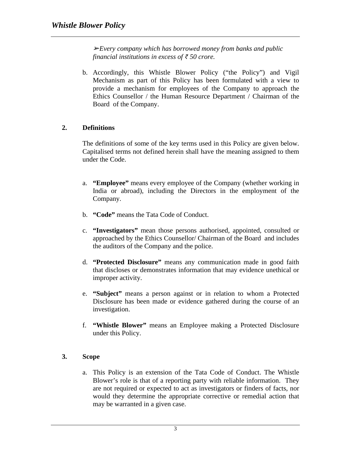➢*Every company which has borrowed money from banks and public financial institutions in excess of ₹ 50 crore.* 

b. Accordingly, this Whistle Blower Policy ("the Policy") and Vigil Mechanism as part of this Policy has been formulated with a view to provide a mechanism for employees of the Company to approach the Ethics Counsellor / the Human Resource Department / Chairman of the Board of the Company.

# **2. Definitions**

The definitions of some of the key terms used in this Policy are given below. Capitalised terms not defined herein shall have the meaning assigned to them under the Code.

- a. **"Employee"** means every employee of the Company (whether working in India or abroad), including the Directors in the employment of the Company.
- b. **"Code"** means the Tata Code of Conduct.
- c. **"Investigators"** mean those persons authorised, appointed, consulted or approached by the Ethics Counsellor/ Chairman of the Board and includes the auditors of the Company and the police.
- d. **"Protected Disclosure"** means any communication made in good faith that discloses or demonstrates information that may evidence unethical or improper activity.
- e. **"Subject"** means a person against or in relation to whom a Protected Disclosure has been made or evidence gathered during the course of an investigation.
- f. **"Whistle Blower"** means an Employee making a Protected Disclosure under this Policy.

# **3. Scope**

a. This Policy is an extension of the Tata Code of Conduct. The Whistle Blower's role is that of a reporting party with reliable information. They are not required or expected to act as investigators or finders of facts, nor would they determine the appropriate corrective or remedial action that may be warranted in a given case.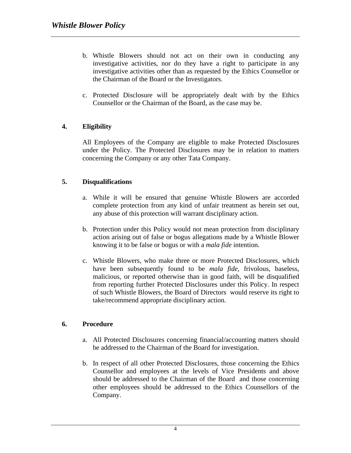- b. Whistle Blowers should not act on their own in conducting any investigative activities, nor do they have a right to participate in any investigative activities other than as requested by the Ethics Counsellor or the Chairman of the Board or the Investigators.
- c. Protected Disclosure will be appropriately dealt with by the Ethics Counsellor or the Chairman of the Board, as the case may be.

### **4. Eligibility**

All Employees of the Company are eligible to make Protected Disclosures under the Policy. The Protected Disclosures may be in relation to matters concerning the Company or any other Tata Company.

### **5. Disqualifications**

- a. While it will be ensured that genuine Whistle Blowers are accorded complete protection from any kind of unfair treatment as herein set out, any abuse of this protection will warrant disciplinary action.
- b. Protection under this Policy would not mean protection from disciplinary action arising out of false or bogus allegations made by a Whistle Blower knowing it to be false or bogus or with a *mala fide* intention.
- c. Whistle Blowers, who make three or more Protected Disclosures, which have been subsequently found to be *mala fide*, frivolous, baseless, malicious, or reported otherwise than in good faith, will be disqualified from reporting further Protected Disclosures under this Policy. In respect of such Whistle Blowers, the Board of Directors would reserve its right to take/recommend appropriate disciplinary action.

#### **6. Procedure**

- a. All Protected Disclosures concerning financial/accounting matters should be addressed to the Chairman of the Board for investigation.
- b. In respect of all other Protected Disclosures, those concerning the Ethics Counsellor and employees at the levels of Vice Presidents and above should be addressed to the Chairman of the Board and those concerning other employees should be addressed to the Ethics Counsellors of the Company.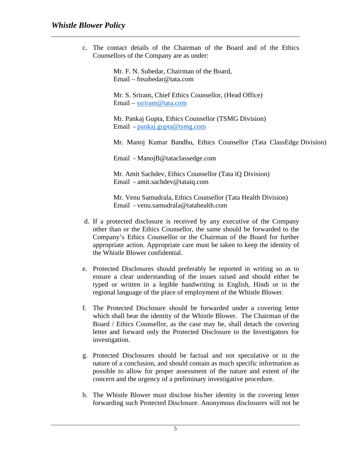c. The contact details of the Chairman of the Board and of the Ethics Counsellors of the Company are as under:

> Mr. F. N. Subedar, Chairman of the Board, Email – fnsubedar@tata.com

Mr. S. Sriram, Chief Ethics Counsellor, (Head Office) Email – [ssriram@tata.com](mailto:ssriram@tata.com)

Mr. Pankaj Gupta, Ethics Counsellor (TSMG Division) Email - [pankaj.gupta@tsmg.com](mailto:pankaj.gupta@tsmg.com)

Mr. Manoj Kumar Bandhu, Ethics Counsellor (Tata ClassEdge Division)

Email - ManojB@tataclassedge.com

Mr. Amit Sachdev, Ethics Counsellor (Tata iQ Division) Email - amit.sachdev@tataiq.com

Mr. Venu Samudrala, Ethics Counsellor (Tata Health Division) Email - venu.samudrala@tatahealth.com

- d. If a protected disclosure is received by any executive of the Company other than or the Ethics Counsellor, the same should be forwarded to the Company's Ethics Counsellor or the Chairman of the Board for further appropriate action. Appropriate care must be taken to keep the identity of the Whistle Blower confidential.
- e. Protected Disclosures should preferably be reported in writing so as to ensure a clear understanding of the issues raised and should either be typed or written in a legible handwriting in English, Hindi or in the regional language of the place of employment of the Whistle Blower.
- f. The Protected Disclosure should be forwarded under a covering letter which shall bear the identity of the Whistle Blower. The Chairman of the Board / Ethics Counsellor, as the case may be, shall detach the covering letter and forward only the Protected Disclosure to the Investigators for investigation.
- g. Protected Disclosures should be factual and not speculative or in the nature of a conclusion, and should contain as much specific information as possible to allow for proper assessment of the nature and extent of the concern and the urgency of a preliminary investigative procedure.
- h. The Whistle Blower must disclose his/her identity in the covering letter forwarding such Protected Disclosure. Anonymous disclosures will not be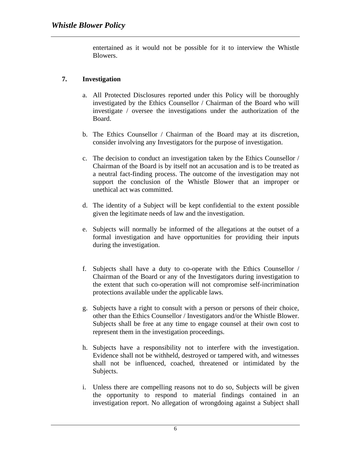entertained as it would not be possible for it to interview the Whistle Blowers.

## **7. Investigation**

- a. All Protected Disclosures reported under this Policy will be thoroughly investigated by the Ethics Counsellor / Chairman of the Board who will investigate / oversee the investigations under the authorization of the Board.
- b. The Ethics Counsellor / Chairman of the Board may at its discretion, consider involving any Investigators for the purpose of investigation.
- c. The decision to conduct an investigation taken by the Ethics Counsellor / Chairman of the Board is by itself not an accusation and is to be treated as a neutral fact-finding process. The outcome of the investigation may not support the conclusion of the Whistle Blower that an improper or unethical act was committed.
- d. The identity of a Subject will be kept confidential to the extent possible given the legitimate needs of law and the investigation.
- e. Subjects will normally be informed of the allegations at the outset of a formal investigation and have opportunities for providing their inputs during the investigation.
- f. Subjects shall have a duty to co-operate with the Ethics Counsellor / Chairman of the Board or any of the Investigators during investigation to the extent that such co-operation will not compromise self-incrimination protections available under the applicable laws.
- g. Subjects have a right to consult with a person or persons of their choice, other than the Ethics Counsellor / Investigators and/or the Whistle Blower. Subjects shall be free at any time to engage counsel at their own cost to represent them in the investigation proceedings.
- h. Subjects have a responsibility not to interfere with the investigation. Evidence shall not be withheld, destroyed or tampered with, and witnesses shall not be influenced, coached, threatened or intimidated by the Subjects.
- i. Unless there are compelling reasons not to do so, Subjects will be given the opportunity to respond to material findings contained in an investigation report. No allegation of wrongdoing against a Subject shall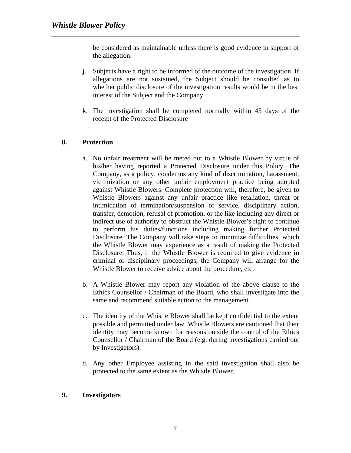be considered as maintainable unless there is good evidence in support of the allegation.

- j. Subjects have a right to be informed of the outcome of the investigation. If allegations are not sustained, the Subject should be consulted as to whether public disclosure of the investigation results would be in the best interest of the Subject and the Company.
- k. The investigation shall be completed normally within 45 days of the receipt of the Protected Disclosure

#### **8. Protection**

- a. No unfair treatment will be meted out to a Whistle Blower by virtue of his/her having reported a Protected Disclosure under this Policy. The Company, as a policy, condemns any kind of discrimination, harassment, victimization or any other unfair employment practice being adopted against Whistle Blowers. Complete protection will, therefore, be given to Whistle Blowers against any unfair practice like retaliation, threat or intimidation of termination/suspension of service, disciplinary action, transfer, demotion, refusal of promotion, or the like including any direct or indirect use of authority to obstruct the Whistle Blower's right to continue to perform his duties/functions including making further Protected Disclosure. The Company will take steps to minimize difficulties, which the Whistle Blower may experience as a result of making the Protected Disclosure. Thus, if the Whistle Blower is required to give evidence in criminal or disciplinary proceedings, the Company will arrange for the Whistle Blower to receive advice about the procedure, etc.
- b. A Whistle Blower may report any violation of the above clause to the Ethics Counsellor / Chairman of the Board, who shall investigate into the same and recommend suitable action to the management.
- c. The identity of the Whistle Blower shall be kept confidential to the extent possible and permitted under law. Whistle Blowers are cautioned that their identity may become known for reasons outside the control of the Ethics Counsellor / Chairman of the Board (e.g. during investigations carried out by Investigators).
- d. Any other Employee assisting in the said investigation shall also be protected to the same extent as the Whistle Blower.

#### **9. Investigators**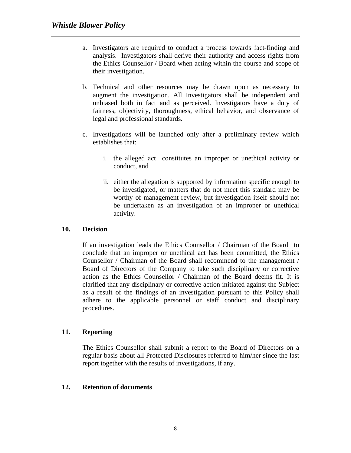- a. Investigators are required to conduct a process towards fact-finding and analysis. Investigators shall derive their authority and access rights from the Ethics Counsellor / Board when acting within the course and scope of their investigation.
- b. Technical and other resources may be drawn upon as necessary to augment the investigation. All Investigators shall be independent and unbiased both in fact and as perceived. Investigators have a duty of fairness, objectivity, thoroughness, ethical behavior, and observance of legal and professional standards.
- c. Investigations will be launched only after a preliminary review which establishes that:
	- i. the alleged act constitutes an improper or unethical activity or conduct, and
	- ii. either the allegation is supported by information specific enough to be investigated, or matters that do not meet this standard may be worthy of management review, but investigation itself should not be undertaken as an investigation of an improper or unethical activity.

## **10. Decision**

If an investigation leads the Ethics Counsellor / Chairman of the Board to conclude that an improper or unethical act has been committed, the Ethics Counsellor / Chairman of the Board shall recommend to the management / Board of Directors of the Company to take such disciplinary or corrective action as the Ethics Counsellor / Chairman of the Board deems fit. It is clarified that any disciplinary or corrective action initiated against the Subject as a result of the findings of an investigation pursuant to this Policy shall adhere to the applicable personnel or staff conduct and disciplinary procedures.

# **11. Reporting**

The Ethics Counsellor shall submit a report to the Board of Directors on a regular basis about all Protected Disclosures referred to him/her since the last report together with the results of investigations, if any.

#### **12. Retention of documents**